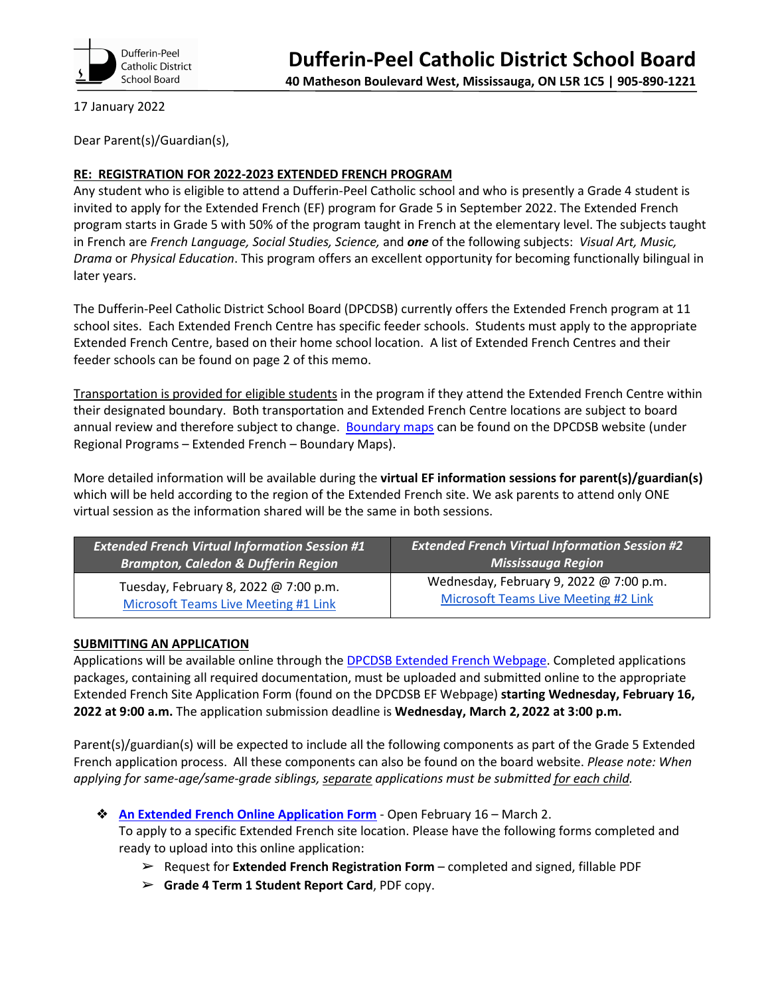

17 January 2022

Dear Parent(s)/Guardian(s),

## **RE: REGISTRATION FOR 2022-2023 EXTENDED FRENCH PROGRAM**

Any student who is eligible to attend a Dufferin-Peel Catholic school and who is presently a Grade 4 student is invited to apply for the Extended French (EF) program for Grade 5 in September 2022. The Extended French program starts in Grade 5 with 50% of the program taught in French at the elementary level. The subjects taught in French are *French Language, Social Studies, Science,* and *one* of the following subjects: *Visual Art, Music, Drama* or *Physical Education*. This program offers an excellent opportunity for becoming functionally bilingual in later years.

The Dufferin-Peel Catholic District School Board (DPCDSB) currently offers the Extended French program at 11 school sites. Each Extended French Centre has specific feeder schools. Students must apply to the appropriate Extended French Centre, based on their home school location. A list of Extended French Centres and their feeder schools can be found on page 2 of this memo.

Transportation is provided for eligible students in the program if they attend the Extended French Centre within their designated boundary. Both transportation and Extended French Centre locations are subject to board annual review and therefore subject to change. [Boundary maps](https://www.dpcdsb.org/programs-services/languages/extended-french) can be found on the DPCDSB website (under Regional Programs – Extended French – Boundary Maps).

More detailed information will be available during the **virtual EF information sessions for parent(s)/guardian(s)**  which will be held according to the region of the Extended French site. We ask parents to attend only ONE virtual session as the information shared will be the same in both sessions.

| <b>Extended French Virtual Information Session #1</b> | <b>Extended French Virtual Information Session #2</b> |
|-------------------------------------------------------|-------------------------------------------------------|
| <b>Brampton, Caledon &amp; Dufferin Region</b>        | <b>Mississauga Region</b>                             |
| Tuesday, February 8, 2022 @ 7:00 p.m.                 | Wednesday, February 9, 2022 @ 7:00 p.m.               |
| <b>Microsoft Teams Live Meeting #1 Link</b>           | Microsoft Teams Live Meeting #2 Link                  |

## **SUBMITTING AN APPLICATION**

Applications will be available online through the [DPCDSB Extended French Webpage.](https://www3.dpcdsb.org/programs-services/languages/extended-french) Completed applications packages, containing all required documentation, must be uploaded and submitted online to the appropriate Extended French Site Application Form (found on the DPCDSB EF Webpage) **starting Wednesday, February 16, 2022 at 9:00 a.m.** The application submission deadline is **Wednesday, March 2, 2022 at 3:00 p.m.**

Parent(s)/guardian(s) will be expected to include all the following components as part of the Grade 5 Extended French application process. All these components can also be found on the board website. *Please note: When applying for same-age/same-grade siblings, separate applications must be submitted for each child.* 

- ❖ **An [Extended French Online Application Form](https://www3.dpcdsb.org/programs-services/languages/extended-french)** Open February 16 March 2. To apply to a specific Extended French site location. Please have the following forms completed and ready to upload into this online application:
	- ➢ Request for **Extended French Registration Form** completed and signed, fillable PDF
	- ➢ **Grade 4 Term 1 Student Report Card**, PDF copy.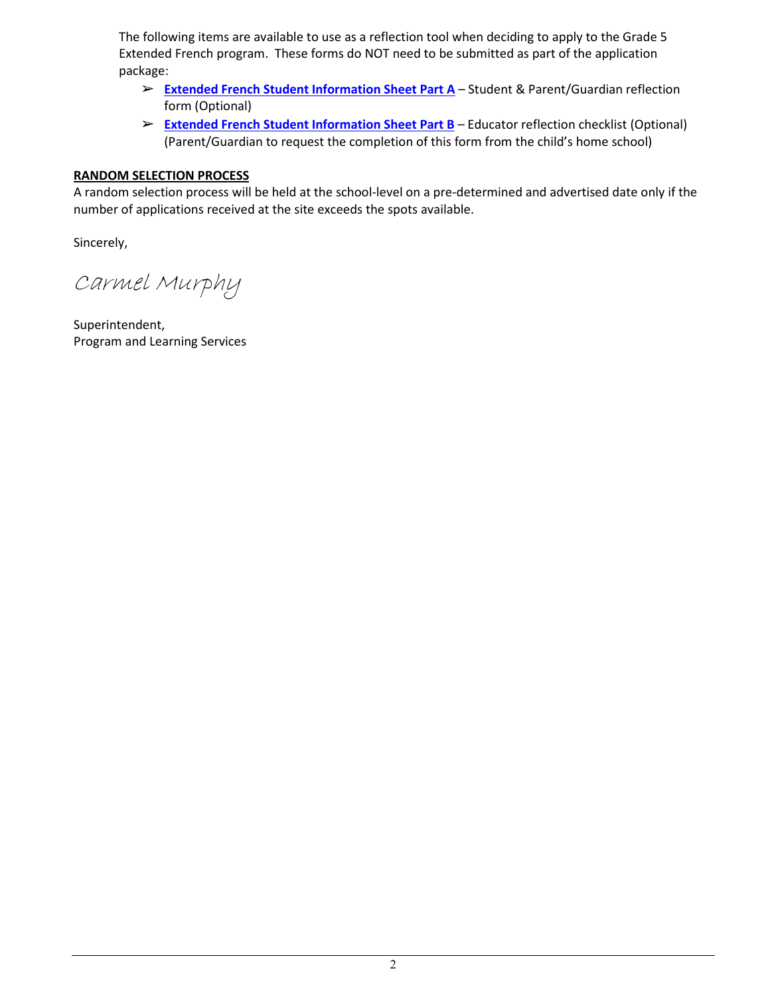The following items are available to use as a reflection tool when deciding to apply to the Grade 5 Extended French program. These forms do NOT need to be submitted as part of the application package:

- ➢ **[Extended French Student Information Sheet Part A](https://www3.dpcdsb.org/programs-services/languages/extended-french)** Student & Parent/Guardian reflection form (Optional)
- ➢ **[Extended French Student Information Sheet Part B](https://www3.dpcdsb.org/programs-services/languages/extended-french)** Educator reflection checklist (Optional) (Parent/Guardian to request the completion of this form from the child's home school)

## **RANDOM SELECTION PROCESS**

A random selection process will be held at the school-level on a pre-determined and advertised date only if the number of applications received at the site exceeds the spots available.

Sincerely,

Carmel Murphy

Superintendent, Program and Learning Services